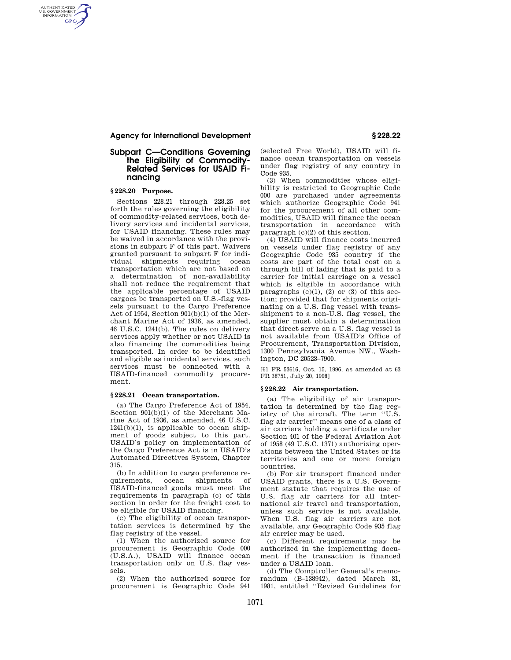## **Agency for International Development § 228.22**

## **Subpart C—Conditions Governing the Eligibility of Commodity-Related Services for USAID Financing**

# **§ 228.20 Purpose.**

AUTHENTICATED<br>U.S. GOVERNMENT<br>INFORMATION **GPO** 

> Sections 228.21 through 228.25 set forth the rules governing the eligibility of commodity-related services, both delivery services and incidental services, for USAID financing. These rules may be waived in accordance with the provisions in subpart F of this part. Waivers granted pursuant to subpart F for individual shipments requiring ocean transportation which are not based on a determination of non-availability shall not reduce the requirement that the applicable percentage of USAID cargoes be transported on U.S.-flag vessels pursuant to the Cargo Preference Act of 1954, Section 901(b)(1) of the Merchant Marine Act of 1936, as amended, 46 U.S.C. 1241(b). The rules on delivery services apply whether or not USAID is also financing the commodities being transported. In order to be identified and eligible as incidental services, such services must be connected with a USAID-financed commodity procurement.

#### **§ 228.21 Ocean transportation.**

(a) The Cargo Preference Act of 1954, Section 901(b)(1) of the Merchant Marine Act of 1936, as amended, 46 U.S.C.  $1241(b)(1)$ , is applicable to ocean shipment of goods subject to this part. USAID's policy on implementation of the Cargo Preference Act is in USAID's Automated Directives System, Chapter 315.

(b) In addition to cargo preference requirements, ocean shipments of USAID-financed goods must meet the requirements in paragraph (c) of this section in order for the freight cost to be eligible for USAID financing.

(c) The eligibility of ocean transportation services is determined by the flag registry of the vessel.

(1) When the authorized source for procurement is Geographic Code 000 (U.S.A.), USAID will finance ocean transportation only on U.S. flag vessels.

(2) When the authorized source for procurement is Geographic Code 941 (selected Free World), USAID will finance ocean transportation on vessels under flag registry of any country in Code 935.

(3) When commodities whose eligibility is restricted to Geographic Code 000 are purchased under agreements which authorize Geographic Code 941 for the procurement of all other commodities, USAID will finance the ocean transportation in accordance with paragraph (c)(2) of this section.

(4) USAID will finance costs incurred on vessels under flag registry of any Geographic Code 935 country if the costs are part of the total cost on a through bill of lading that is paid to a carrier for initial carriage on a vessel which is eligible in accordance with paragraphs  $(c)(1)$ ,  $(2)$  or  $(3)$  of this section; provided that for shipments originating on a U.S. flag vessel with transshipment to a non-U.S. flag vessel, the supplier must obtain a determination that direct serve on a U.S. flag vessel is not available from USAID's Office of Procurement, Transportation Division, 1300 Pennsylvania Avenue NW., Washington, DC 20523–7900.

[61 FR 53616, Oct. 15, 1996, as amended at 63 FR 38751, July 20, 1998]

# **§ 228.22 Air transportation.**

(a) The eligibility of air transportation is determined by the flag registry of the aircraft. The term ''U.S. flag air carrier'' means one of a class of air carriers holding a certificate under Section 401 of the Federal Aviation Act of 1958 (49 U.S.C. 1371) authorizing operations between the United States or its territories and one or more foreign countries.

(b) For air transport financed under USAID grants, there is a U.S. Government statute that requires the use of U.S. flag air carriers for all international air travel and transportation, unless such service is not available. When U.S. flag air carriers are not available, any Geographic Code 935 flag air carrier may be used.

(c) Different requirements may be authorized in the implementing document if the transaction is financed under a USAID loan.

(d) The Comptroller General's memorandum (B–138942), dated March 31, 1981, entitled ''Revised Guidelines for